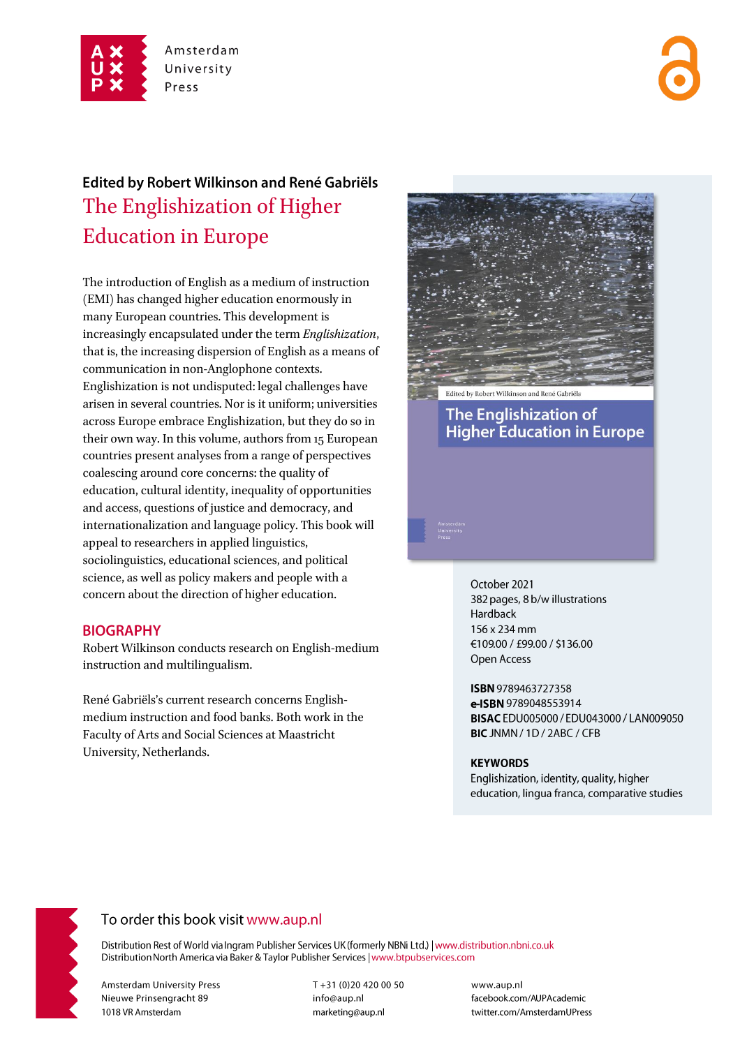

# Edited by Robert Wilkinson and René Gabriëls The Englishization of Higher **Education in Europe**

The introduction of English as a medium of instruction (EMI) has changed higher education enormously in many European countries. This development is increasingly encapsulated under the term Englishization, that is, the increasing dispersion of English as a means of communication in non-Anglophone contexts. Englishization is not undisputed: legal challenges have arisen in several countries. Nor is it uniform; universities across Europe embrace Englishization, but they do so in their own way. In this volume, authors from 15 European countries present analyses from a range of perspectives coalescing around core concerns: the quality of education, cultural identity, inequality of opportunities and access, questions of justice and democracy, and internationalization and language policy. This book will appeal to researchers in applied linguistics, sociolinguistics, educational sciences, and political science, as well as policy makers and people with a concern about the direction of higher education.

#### **BIOGRAPHY**

Robert Wilkinson conducts research on English-medium instruction and multilingualism.

René Gabriëls's current research concerns Englishmedium instruction and food banks. Both work in the Faculty of Arts and Social Sciences at Maastricht University, Netherlands.



**The Englishization of Higher Education in Europe** 

> October 2021 382 pages, 8 b/w illustrations Hardback 156 x 234 mm €109.00 / £99.00 / \$136.00 Open Access

ISBN 9789463727358 e-ISBN 9789048553914 BISAC EDU005000 / EDU043000 / LAN009050 BIC JNMN / 1D / 2ABC / CFB

#### **KEYWORDS**

Englishization, identity, quality, higher education, lingua franca, comparative studies



### To order this book visit www.aup.nl

Distribution Rest of World via Ingram Publisher Services UK (formerly NBNi Ltd.) | www.distribution.nbni.co.uk Distribution North America via Baker & Taylor Publisher Services | www.btpubservices.com

**Amsterdam University Press** Nieuwe Prinsengracht 89 1018 VR Amsterdam

T+31 (0)20 420 00 50 info@aup.nl marketing@aup.nl

www.aup.nl facebook.com/AUPAcademic twitter.com/AmsterdamUPress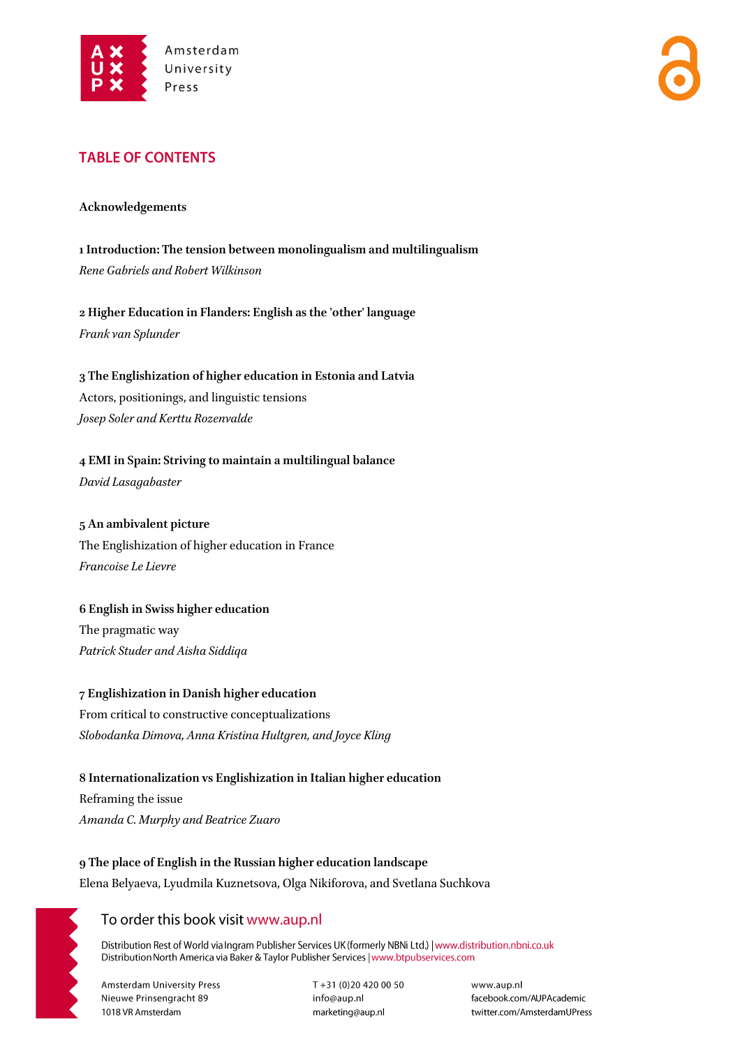

## **TABLE OF CONTENTS**

#### **Acknowledgements**

**1 Introduction: The tension between monolingualism and multilingualism** *Rene Gabriels and Robert Wilkinson*

**2 Higher Education in Flanders: English as the 'other' language** *Frank van Splunder*

**3 The Englishization of higher education in Estonia and Latvia** Actors, positionings, and linguistic tensions *Josep Soler and Kerttu Rozenvalde*

**4 EMI in Spain: Striving to maintain a multilingual balance**

*David Lasagabaster*

## **5 An ambivalent picture** The Englishization of higher education in France *Francoise Le Lievre*

# **6 English in Swiss higher education**

The pragmatic way *Patrick Studer and Aisha Siddiqa*

**7 Englishization in Danish higher education** From critical to constructive conceptualizations *Slobodanka Dimova, Anna Kristina Hultgren, and Joyce Kling*

**8 Internationalization vs Englishization in Italian higher education** Reframing the issue *Amanda C. Murphy and Beatrice Zuaro*

**9 The place of English in the Russian higher education landscape** Elena Belyaeva, Lyudmila Kuznetsova, Olga Nikiforova, and Svetlana Suchkova

## To order this book visit www.aup.nl

Distribution Rest of World via Ingram Publisher Services UK (formerly NBNi Ltd.) | www.distribution.nbni.co.uk Distribution North America via Baker & Taylor Publisher Services | www.btpubservices.com

**Amsterdam University Press** Nieuwe Prinsengracht 89 1018 VR Amsterdam

 $T + 31(0)204200050$ info@aup.nl marketing@aup.nl

www.aup.nl facebook.com/AUPAcademic twitter.com/AmsterdamUPress